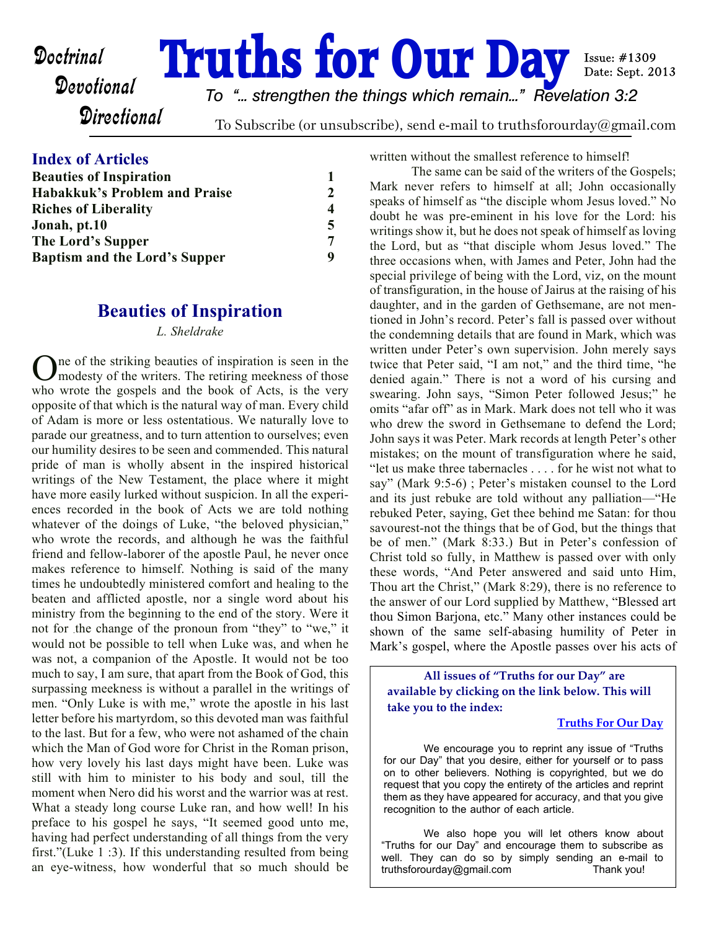**Doctrinal Truths for Our Day** *To "... strengthen the things which remain..." Revelation 3:2*

**Directional** 

To Subscribe (or unsubscribe), send e-mail to truthsforourday@gmail.com

## **Index of Articles**

| <b>Beauties of Inspiration</b>       |                |
|--------------------------------------|----------------|
| Habakkuk's Problem and Praise        | $\mathfrak{D}$ |
| <b>Riches of Liberality</b>          | 4              |
| Jonah, pt.10                         | 5              |
| The Lord's Supper                    | 7              |
| <b>Baptism and the Lord's Supper</b> | q              |

# **Beauties of Inspiration**

#### *L. Sheldrake*

One of the striking beauties of inspiration is seen in the modesty of the writers. The retiring meekness of those ne of the striking beauties of inspiration is seen in the who wrote the gospels and the book of Acts, is the very opposite of that which is the natural way of man. Every child of Adam is more or less ostentatious. We naturally love to parade our greatness, and to turn attention to ourselves; even our humility desires to be seen and commended. This natural pride of man is wholly absent in the inspired historical writings of the New Testament, the place where it might have more easily lurked without suspicion. In all the experiences recorded in the book of Acts we are told nothing whatever of the doings of Luke, "the beloved physician," who wrote the records, and although he was the faithful friend and fellow-laborer of the apostle Paul, he never once makes reference to himself. Nothing is said of the many times he undoubtedly ministered comfort and healing to the beaten and afflicted apostle, nor a single word about his ministry from the beginning to the end of the story. Were it not for the change of the pronoun from "they" to "we," it would not be possible to tell when Luke was, and when he was not, a companion of the Apostle. It would not be too much to say, I am sure, that apart from the Book of God, this surpassing meekness is without a parallel in the writings of men. "Only Luke is with me," wrote the apostle in his last letter before his martyrdom, so this devoted man was faithful to the last. But for a few, who were not ashamed of the chain which the Man of God wore for Christ in the Roman prison, how very lovely his last days might have been. Luke was still with him to minister to his body and soul, till the moment when Nero did his worst and the warrior was at rest. What a steady long course Luke ran, and how well! In his preface to his gospel he says, "It seemed good unto me, having had perfect understanding of all things from the very first."(Luke 1 :3). If this understanding resulted from being an eye-witness, how wonderful that so much should be written without the smallest reference to himself!

Issue: #1309 Date: Sept. 2013

The same can be said of the writers of the Gospels; Mark never refers to himself at all; John occasionally speaks of himself as "the disciple whom Jesus loved." No doubt he was pre-eminent in his love for the Lord: his writings show it, but he does not speak of himself as loving the Lord, but as "that disciple whom Jesus loved." The three occasions when, with James and Peter, John had the special privilege of being with the Lord, viz, on the mount of transfiguration, in the house of Jairus at the raising of his daughter, and in the garden of Gethsemane, are not mentioned in John's record. Peter's fall is passed over without the condemning details that are found in Mark, which was written under Peter's own supervision. John merely says twice that Peter said, "I am not," and the third time, "he denied again." There is not a word of his cursing and swearing. John says, "Simon Peter followed Jesus;" he omits "afar off" as in Mark. Mark does not tell who it was who drew the sword in Gethsemane to defend the Lord; John says it was Peter. Mark records at length Peter's other mistakes; on the mount of transfiguration where he said, "let us make three tabernacles . . . . for he wist not what to say" (Mark 9:5-6) ; Peter's mistaken counsel to the Lord and its just rebuke are told without any palliation—"He rebuked Peter, saying, Get thee behind me Satan: for thou savourest-not the things that be of God, but the things that be of men." (Mark 8:33.) But in Peter's confession of Christ told so fully, in Matthew is passed over with only these words, "And Peter answered and said unto Him, Thou art the Christ," (Mark 8:29), there is no reference to the answer of our Lord supplied by Matthew, "Blessed art thou Simon Barjona, etc." Many other instances could be shown of the same self-abasing humility of Peter in Mark's gospel, where the Apostle passes over his acts of

**All issues of "Truths for our Day" are available by clicking on the link below. This will take you to the index:**

### **[Truths For Our Day](http://truthsforourday.com)**

 We encourage you to reprint any issue of "Truths for our Day" that you desire, either for yourself or to pass on to other believers. Nothing is copyrighted, but we do request that you copy the entirety of the articles and reprint them as they have appeared for accuracy, and that you give recognition to the author of each article.

 We also hope you will let others know about "Truths for our Day" and encourage them to subscribe as well. They can do so by simply sending an e-mail to truthsforourday@gmail.com Thank you!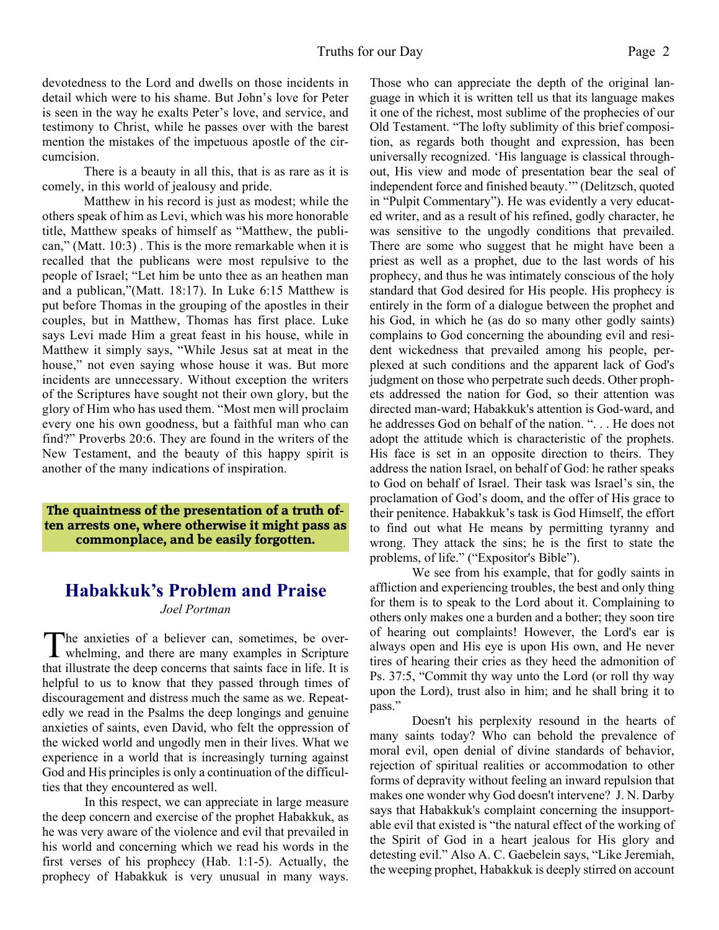devotedness to the Lord and dwells on those incidents in detail which were to his shame. But John's love for Peter is seen in the way he exalts Peter's love, and service, and testimony to Christ, while he passes over with the barest mention the mistakes of the impetuous apostle of the circumcision.

There is a beauty in all this, that is as rare as it is comely, in this world of jealousy and pride.

Matthew in his record is just as modest; while the others speak of him as Levi, which was his more honorable title, Matthew speaks of himself as "Matthew, the publican," (Matt. 10:3) . This is the more remarkable when it is recalled that the publicans were most repulsive to the people of Israel; "Let him be unto thee as an heathen man and a publican,"(Matt. 18:17). In Luke 6:15 Matthew is put before Thomas in the grouping of the apostles in their couples, but in Matthew, Thomas has first place. Luke says Levi made Him a great feast in his house, while in Matthew it simply says, "While Jesus sat at meat in the house," not even saying whose house it was. But more incidents are unnecessary. Without exception the writers of the Scriptures have sought not their own glory, but the glory of Him who has used them. "Most men will proclaim every one his own goodness, but a faithful man who can find?" Proverbs 20:6. They are found in the writers of the New Testament, and the beauty of this happy spirit is another of the many indications of inspiration.

**The quaintness of the presentation of a truth often arrests one, where otherwise it might pass as commonplace, and be easily forgotten.**

# **Habakkuk's Problem and Praise**

*Joel Portman*

The anxieties of a believer can, sometimes, be over-<br>whelming, and there are many examples in Scripture **L** whelming, and there are many examples in Scripture that illustrate the deep concerns that saints face in life. It is helpful to us to know that they passed through times of discouragement and distress much the same as we. Repeatedly we read in the Psalms the deep longings and genuine anxieties of saints, even David, who felt the oppression of the wicked world and ungodly men in their lives. What we experience in a world that is increasingly turning against God and His principles is only a continuation of the difficulties that they encountered as well.

In this respect, we can appreciate in large measure the deep concern and exercise of the prophet Habakkuk, as he was very aware of the violence and evil that prevailed in his world and concerning which we read his words in the first verses of his prophecy (Hab. 1:1-5). Actually, the prophecy of Habakkuk is very unusual in many ways.

Those who can appreciate the depth of the original language in which it is written tell us that its language makes it one of the richest, most sublime of the prophecies of our Old Testament. "The lofty sublimity of this brief composition, as regards both thought and expression, has been universally recognized. 'His language is classical throughout, His view and mode of presentation bear the seal of independent force and finished beauty.'" (Delitzsch, quoted in "Pulpit Commentary"). He was evidently a very educated writer, and as a result of his refined, godly character, he was sensitive to the ungodly conditions that prevailed. There are some who suggest that he might have been a priest as well as a prophet, due to the last words of his prophecy, and thus he was intimately conscious of the holy standard that God desired for His people. His prophecy is entirely in the form of a dialogue between the prophet and his God, in which he (as do so many other godly saints) complains to God concerning the abounding evil and resident wickedness that prevailed among his people, perplexed at such conditions and the apparent lack of God's judgment on those who perpetrate such deeds. Other prophets addressed the nation for God, so their attention was directed man-ward; Habakkuk's attention is God-ward, and he addresses God on behalf of the nation. ". . . He does not adopt the attitude which is characteristic of the prophets. His face is set in an opposite direction to theirs. They address the nation Israel, on behalf of God: he rather speaks to God on behalf of Israel. Their task was Israel's sin, the proclamation of God's doom, and the offer of His grace to their penitence. Habakkuk's task is God Himself, the effort to find out what He means by permitting tyranny and wrong. They attack the sins; he is the first to state the problems, of life." ("Expositor's Bible").

 We see from his example, that for godly saints in affliction and experiencing troubles, the best and only thing for them is to speak to the Lord about it. Complaining to others only makes one a burden and a bother; they soon tire of hearing out complaints! However, the Lord's ear is always open and His eye is upon His own, and He never tires of hearing their cries as they heed the admonition of Ps. 37:5, "Commit thy way unto the Lord (or roll thy way upon the Lord), trust also in him; and he shall bring it to pass."

Doesn't his perplexity resound in the hearts of many saints today? Who can behold the prevalence of moral evil, open denial of divine standards of behavior, rejection of spiritual realities or accommodation to other forms of depravity without feeling an inward repulsion that makes one wonder why God doesn't intervene? J. N. Darby says that Habakkuk's complaint concerning the insupportable evil that existed is "the natural effect of the working of the Spirit of God in a heart jealous for His glory and detesting evil." Also A. C. Gaebelein says, "Like Jeremiah, the weeping prophet, Habakkuk is deeply stirred on account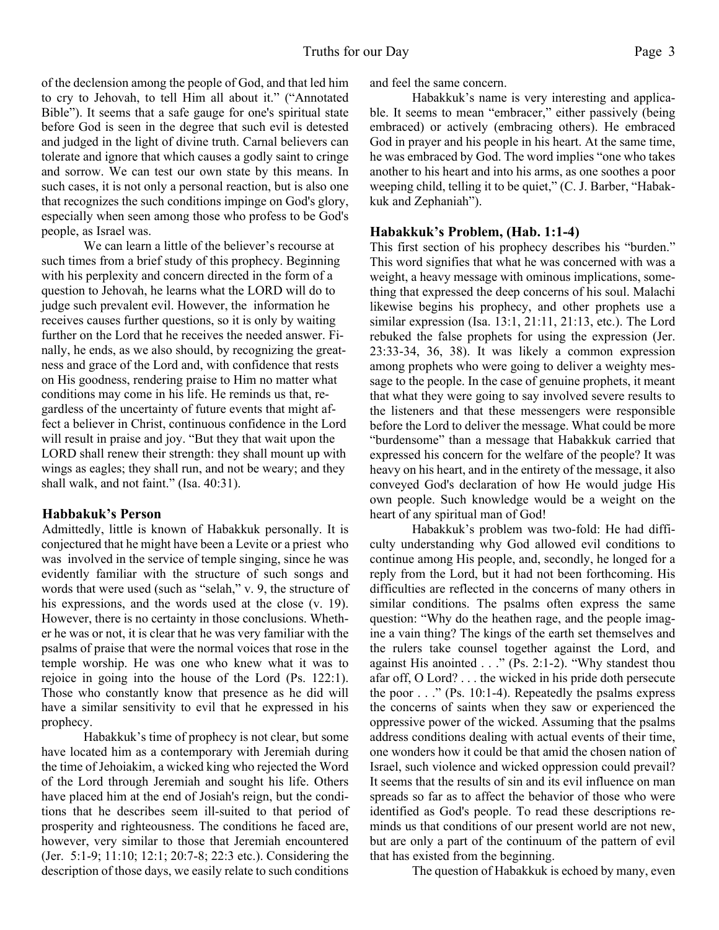of the declension among the people of God, and that led him to cry to Jehovah, to tell Him all about it." ("Annotated Bible"). It seems that a safe gauge for one's spiritual state before God is seen in the degree that such evil is detested and judged in the light of divine truth. Carnal believers can tolerate and ignore that which causes a godly saint to cringe and sorrow. We can test our own state by this means. In such cases, it is not only a personal reaction, but is also one that recognizes the such conditions impinge on God's glory, especially when seen among those who profess to be God's people, as Israel was.

 We can learn a little of the believer's recourse at such times from a brief study of this prophecy. Beginning with his perplexity and concern directed in the form of a question to Jehovah, he learns what the LORD will do to judge such prevalent evil. However, the information he receives causes further questions, so it is only by waiting further on the Lord that he receives the needed answer. Finally, he ends, as we also should, by recognizing the greatness and grace of the Lord and, with confidence that rests on His goodness, rendering praise to Him no matter what conditions may come in his life. He reminds us that, regardless of the uncertainty of future events that might affect a believer in Christ, continuous confidence in the Lord will result in praise and joy. "But they that wait upon the LORD shall renew their strength: they shall mount up with wings as eagles; they shall run, and not be weary; and they shall walk, and not faint." (Isa. 40:31).

#### **Habbakuk's Person**

Admittedly, little is known of Habakkuk personally. It is conjectured that he might have been a Levite or a priest who was involved in the service of temple singing, since he was evidently familiar with the structure of such songs and words that were used (such as "selah," v. 9, the structure of his expressions, and the words used at the close (v. 19). However, there is no certainty in those conclusions. Whether he was or not, it is clear that he was very familiar with the psalms of praise that were the normal voices that rose in the temple worship. He was one who knew what it was to rejoice in going into the house of the Lord (Ps. 122:1). Those who constantly know that presence as he did will have a similar sensitivity to evil that he expressed in his prophecy.

 Habakkuk's time of prophecy is not clear, but some have located him as a contemporary with Jeremiah during the time of Jehoiakim, a wicked king who rejected the Word of the Lord through Jeremiah and sought his life. Others have placed him at the end of Josiah's reign, but the conditions that he describes seem ill-suited to that period of prosperity and righteousness. The conditions he faced are, however, very similar to those that Jeremiah encountered (Jer. 5:1-9; 11:10; 12:1; 20:7-8; 22:3 etc.). Considering the description of those days, we easily relate to such conditions

and feel the same concern.

 Habakkuk's name is very interesting and applicable. It seems to mean "embracer," either passively (being embraced) or actively (embracing others). He embraced God in prayer and his people in his heart. At the same time, he was embraced by God. The word implies "one who takes another to his heart and into his arms, as one soothes a poor weeping child, telling it to be quiet," (C. J. Barber, "Habakkuk and Zephaniah").

#### **Habakkuk's Problem, (Hab. 1:1-4)**

This first section of his prophecy describes his "burden." This word signifies that what he was concerned with was a weight, a heavy message with ominous implications, something that expressed the deep concerns of his soul. Malachi likewise begins his prophecy, and other prophets use a similar expression (Isa. 13:1, 21:11, 21:13, etc.). The Lord rebuked the false prophets for using the expression (Jer. 23:33-34, 36, 38). It was likely a common expression among prophets who were going to deliver a weighty message to the people. In the case of genuine prophets, it meant that what they were going to say involved severe results to the listeners and that these messengers were responsible before the Lord to deliver the message. What could be more "burdensome" than a message that Habakkuk carried that expressed his concern for the welfare of the people? It was heavy on his heart, and in the entirety of the message, it also conveyed God's declaration of how He would judge His own people. Such knowledge would be a weight on the heart of any spiritual man of God!

 Habakkuk's problem was two-fold: He had difficulty understanding why God allowed evil conditions to continue among His people, and, secondly, he longed for a reply from the Lord, but it had not been forthcoming. His difficulties are reflected in the concerns of many others in similar conditions. The psalms often express the same question: "Why do the heathen rage, and the people imagine a vain thing? The kings of the earth set themselves and the rulers take counsel together against the Lord, and against His anointed . . ." (Ps. 2:1-2). "Why standest thou afar off, O Lord? . . . the wicked in his pride doth persecute the poor  $\ldots$  " (Ps. 10:1-4). Repeatedly the psalms express the concerns of saints when they saw or experienced the oppressive power of the wicked. Assuming that the psalms address conditions dealing with actual events of their time, one wonders how it could be that amid the chosen nation of Israel, such violence and wicked oppression could prevail? It seems that the results of sin and its evil influence on man spreads so far as to affect the behavior of those who were identified as God's people. To read these descriptions reminds us that conditions of our present world are not new, but are only a part of the continuum of the pattern of evil that has existed from the beginning.

The question of Habakkuk is echoed by many, even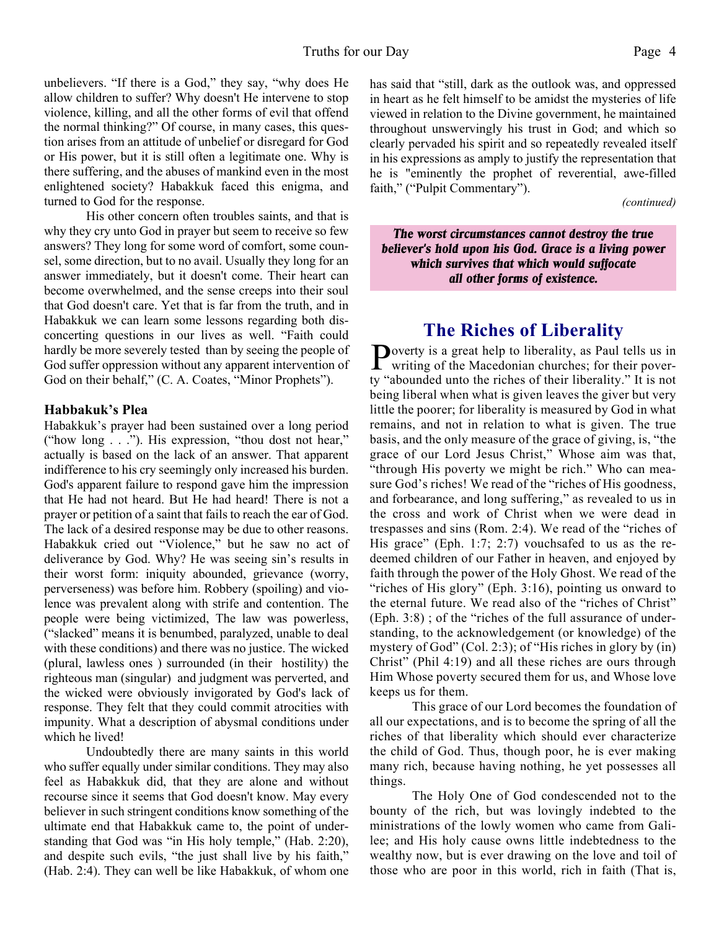unbelievers. "If there is a God," they say, "why does He allow children to suffer? Why doesn't He intervene to stop violence, killing, and all the other forms of evil that offend the normal thinking?" Of course, in many cases, this question arises from an attitude of unbelief or disregard for God or His power, but it is still often a legitimate one. Why is there suffering, and the abuses of mankind even in the most enlightened society? Habakkuk faced this enigma, and turned to God for the response.

 His other concern often troubles saints, and that is why they cry unto God in prayer but seem to receive so few answers? They long for some word of comfort, some counsel, some direction, but to no avail. Usually they long for an answer immediately, but it doesn't come. Their heart can become overwhelmed, and the sense creeps into their soul that God doesn't care. Yet that is far from the truth, and in Habakkuk we can learn some lessons regarding both disconcerting questions in our lives as well. "Faith could hardly be more severely tested than by seeing the people of God suffer oppression without any apparent intervention of God on their behalf," (C. A. Coates, "Minor Prophets").

#### **Habbakuk's Plea**

Habakkuk's prayer had been sustained over a long period ("how long . . ."). His expression, "thou dost not hear," actually is based on the lack of an answer. That apparent indifference to his cry seemingly only increased his burden. God's apparent failure to respond gave him the impression that He had not heard. But He had heard! There is not a prayer or petition of a saint that fails to reach the ear of God. The lack of a desired response may be due to other reasons. Habakkuk cried out "Violence," but he saw no act of deliverance by God. Why? He was seeing sin's results in their worst form: iniquity abounded, grievance (worry, perverseness) was before him. Robbery (spoiling) and violence was prevalent along with strife and contention. The people were being victimized, The law was powerless, ("slacked" means it is benumbed, paralyzed, unable to deal with these conditions) and there was no justice. The wicked (plural, lawless ones ) surrounded (in their hostility) the righteous man (singular) and judgment was perverted, and the wicked were obviously invigorated by God's lack of response. They felt that they could commit atrocities with impunity. What a description of abysmal conditions under which he lived!

Undoubtedly there are many saints in this world who suffer equally under similar conditions. They may also feel as Habakkuk did, that they are alone and without recourse since it seems that God doesn't know. May every believer in such stringent conditions know something of the ultimate end that Habakkuk came to, the point of understanding that God was "in His holy temple," (Hab. 2:20), and despite such evils, "the just shall live by his faith," (Hab. 2:4). They can well be like Habakkuk, of whom one has said that "still, dark as the outlook was, and oppressed in heart as he felt himself to be amidst the mysteries of life viewed in relation to the Divine government, he maintained throughout unswervingly his trust in God; and which so clearly pervaded his spirit and so repeatedly revealed itself in his expressions as amply to justify the representation that he is "eminently the prophet of reverential, awe-filled faith," ("Pulpit Commentary").

 *(continued)*

*The worst circumstances cannot destroy the true believer's hold upon his God. Grace is a living power which survives that which would suffocate all other forms of existence.*

# **The Riches of Liberality**

Poverty is a great help to liberality, as Paul tells us in<br>writing of the Macedonian churches; for their poverwriting of the Macedonian churches; for their poverty "abounded unto the riches of their liberality." It is not being liberal when what is given leaves the giver but very little the poorer; for liberality is measured by God in what remains, and not in relation to what is given. The true basis, and the only measure of the grace of giving, is, "the grace of our Lord Jesus Christ," Whose aim was that, "through His poverty we might be rich." Who can measure God's riches! We read of the "riches of His goodness, and forbearance, and long suffering," as revealed to us in the cross and work of Christ when we were dead in trespasses and sins (Rom. 2:4). We read of the "riches of His grace" (Eph. 1:7; 2:7) vouchsafed to us as the redeemed children of our Father in heaven, and enjoyed by faith through the power of the Holy Ghost. We read of the "riches of His glory" (Eph. 3:16), pointing us onward to the eternal future. We read also of the "riches of Christ" (Eph. 3:8) ; of the "riches of the full assurance of understanding, to the acknowledgement (or knowledge) of the mystery of God" (Col. 2:3); of "His riches in glory by (in) Christ" (Phil 4:19) and all these riches are ours through Him Whose poverty secured them for us, and Whose love keeps us for them.

 This grace of our Lord becomes the foundation of all our expectations, and is to become the spring of all the riches of that liberality which should ever characterize the child of God. Thus, though poor, he is ever making many rich, because having nothing, he yet possesses all things.

 The Holy One of God condescended not to the bounty of the rich, but was lovingly indebted to the ministrations of the lowly women who came from Galilee; and His holy cause owns little indebtedness to the wealthy now, but is ever drawing on the love and toil of those who are poor in this world, rich in faith (That is,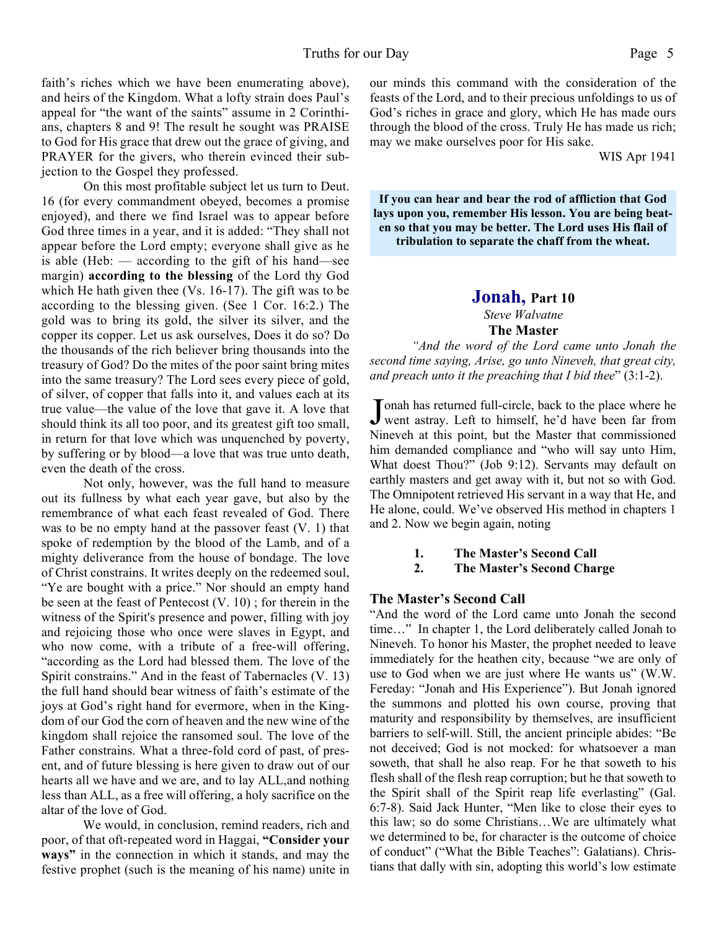faith's riches which we have been enumerating above), and heirs of the Kingdom. What a lofty strain does Paul's appeal for "the want of the saints" assume in 2 Corinthians, chapters 8 and 9! The result he sought was PRAISE to God for His grace that drew out the grace of giving, and PRAYER for the givers, who therein evinced their subjection to the Gospel they professed.

 On this most profitable subject let us turn to Deut. 16 (for every commandment obeyed, becomes a promise enjoyed), and there we find Israel was to appear before God three times in a year, and it is added: "They shall not appear before the Lord empty; everyone shall give as he is able (Heb:  $-$  according to the gift of his hand—see margin) **according to the blessing** of the Lord thy God which He hath given thee (Vs. 16-17). The gift was to be according to the blessing given. (See 1 Cor. 16:2.) The gold was to bring its gold, the silver its silver, and the copper its copper. Let us ask ourselves, Does it do so? Do the thousands of the rich believer bring thousands into the treasury of God? Do the mites of the poor saint bring mites into the same treasury? The Lord sees every piece of gold, of silver, of copper that falls into it, and values each at its true value—the value of the love that gave it. A love that should think its all too poor, and its greatest gift too small, in return for that love which was unquenched by poverty, by suffering or by blood—a love that was true unto death, even the death of the cross.

 Not only, however, was the full hand to measure out its fullness by what each year gave, but also by the remembrance of what each feast revealed of God. There was to be no empty hand at the passover feast (V. 1) that spoke of redemption by the blood of the Lamb, and of a mighty deliverance from the house of bondage. The love of Christ constrains. It writes deeply on the redeemed soul, "Ye are bought with a price." Nor should an empty hand be seen at the feast of Pentecost (V. 10) ; for therein in the witness of the Spirit's presence and power, filling with joy and rejoicing those who once were slaves in Egypt, and who now come, with a tribute of a free-will offering, "according as the Lord had blessed them. The love of the Spirit constrains." And in the feast of Tabernacles (V. 13) the full hand should bear witness of faith's estimate of the joys at God's right hand for evermore, when in the Kingdom of our God the corn of heaven and the new wine of the kingdom shall rejoice the ransomed soul. The love of the Father constrains. What a three-fold cord of past, of present, and of future blessing is here given to draw out of our hearts all we have and we are, and to lay ALL,and nothing less than ALL, as a free will offering, a holy sacrifice on the altar of the love of God.

We would, in conclusion, remind readers, rich and poor, of that oft-repeated word in Haggai, **"Consider your ways"** in the connection in which it stands, and may the festive prophet (such is the meaning of his name) unite in our minds this command with the consideration of the feasts of the Lord, and to their precious unfoldings to us of God's riches in grace and glory, which He has made ours through the blood of the cross. Truly He has made us rich; may we make ourselves poor for His sake.

WIS Apr 1941

**If you can hear and bear the rod of affliction that God lays upon you, remember His lesson. You are being beaten so that you may be better. The Lord uses His flail of tribulation to separate the chaff from the wheat.**

# **Jonah, Part 10** *Steve Walvatne*

#### **The Master**

*"And the word of the Lord came unto Jonah the second time saying, Arise, go unto Nineveh, that great city, and preach unto it the preaching that I bid thee*" (3:1-2).

Jonah has returned full-circle, back to the place where he<br>went astray. Left to himself, he'd have been far from Tonah has returned full-circle, back to the place where he Nineveh at this point, but the Master that commissioned him demanded compliance and "who will say unto Him, What doest Thou?" (Job 9:12). Servants may default on earthly masters and get away with it, but not so with God. The Omnipotent retrieved His servant in a way that He, and He alone, could. We've observed His method in chapters 1 and 2. Now we begin again, noting

**1. The Master's Second Call**

**2. The Master's Second Charge**

#### **The Master's Second Call**

"And the word of the Lord came unto Jonah the second time…" In chapter 1, the Lord deliberately called Jonah to Nineveh. To honor his Master, the prophet needed to leave immediately for the heathen city, because "we are only of use to God when we are just where He wants us" (W.W. Fereday: "Jonah and His Experience"). But Jonah ignored the summons and plotted his own course, proving that maturity and responsibility by themselves, are insufficient barriers to self-will. Still, the ancient principle abides: "Be not deceived; God is not mocked: for whatsoever a man soweth, that shall he also reap. For he that soweth to his flesh shall of the flesh reap corruption; but he that soweth to the Spirit shall of the Spirit reap life everlasting" (Gal. 6:7-8). Said Jack Hunter, "Men like to close their eyes to this law; so do some Christians…We are ultimately what we determined to be, for character is the outcome of choice of conduct" ("What the Bible Teaches": Galatians). Christians that dally with sin, adopting this world's low estimate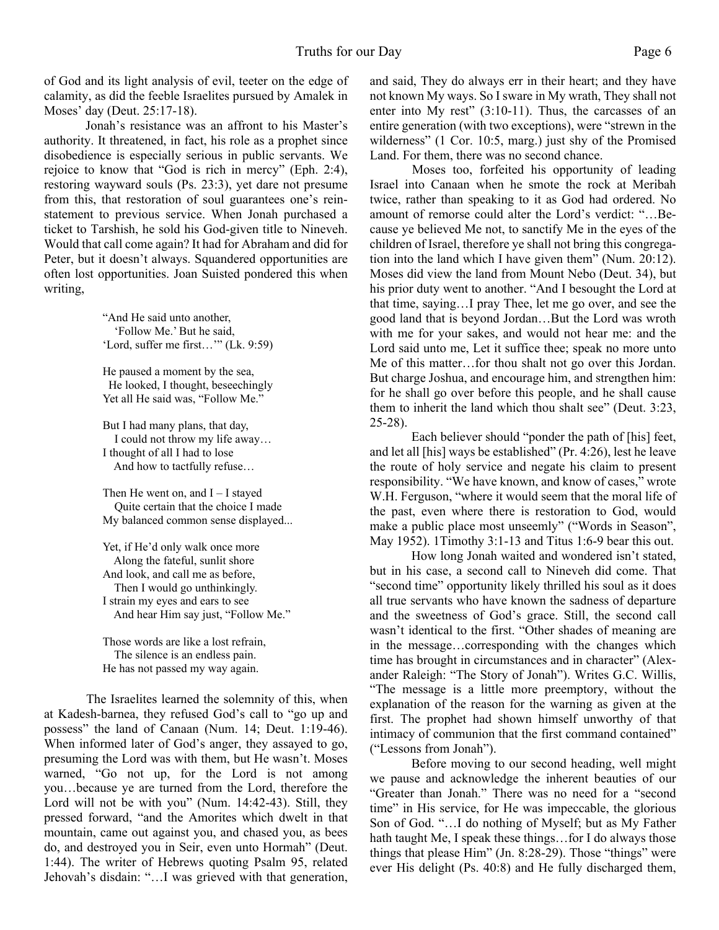of God and its light analysis of evil, teeter on the edge of calamity, as did the feeble Israelites pursued by Amalek in Moses' day (Deut. 25:17-18).

Jonah's resistance was an affront to his Master's authority. It threatened, in fact, his role as a prophet since disobedience is especially serious in public servants. We rejoice to know that "God is rich in mercy" (Eph. 2:4), restoring wayward souls (Ps. 23:3), yet dare not presume from this, that restoration of soul guarantees one's reinstatement to previous service. When Jonah purchased a ticket to Tarshish, he sold his God-given title to Nineveh. Would that call come again? It had for Abraham and did for Peter, but it doesn't always. Squandered opportunities are often lost opportunities. Joan Suisted pondered this when writing,

> "And He said unto another, 'Follow Me.' But he said, 'Lord, suffer me first…'" (Lk. 9:59)

> He paused a moment by the sea, He looked, I thought, beseechingly Yet all He said was, "Follow Me."

But I had many plans, that day, I could not throw my life away… I thought of all I had to lose And how to tactfully refuse…

Then He went on, and  $I - I$  stayed Quite certain that the choice I made My balanced common sense displayed...

Yet, if He'd only walk once more Along the fateful, sunlit shore And look, and call me as before, Then I would go unthinkingly. I strain my eyes and ears to see And hear Him say just, "Follow Me."

Those words are like a lost refrain, The silence is an endless pain. He has not passed my way again.

 The Israelites learned the solemnity of this, when at Kadesh-barnea, they refused God's call to "go up and possess" the land of Canaan (Num. 14; Deut. 1:19-46). When informed later of God's anger, they assayed to go, presuming the Lord was with them, but He wasn't. Moses warned, "Go not up, for the Lord is not among you…because ye are turned from the Lord, therefore the Lord will not be with you" (Num. 14:42-43). Still, they pressed forward, "and the Amorites which dwelt in that mountain, came out against you, and chased you, as bees do, and destroyed you in Seir, even unto Hormah" (Deut. 1:44). The writer of Hebrews quoting Psalm 95, related Jehovah's disdain: "…I was grieved with that generation,

and said, They do always err in their heart; and they have not known My ways. So I sware in My wrath, They shall not enter into My rest" (3:10-11). Thus, the carcasses of an entire generation (with two exceptions), were "strewn in the wilderness" (1 Cor. 10:5, marg.) just shy of the Promised Land. For them, there was no second chance.

 Moses too, forfeited his opportunity of leading Israel into Canaan when he smote the rock at Meribah twice, rather than speaking to it as God had ordered. No amount of remorse could alter the Lord's verdict: "…Because ye believed Me not, to sanctify Me in the eyes of the children of Israel, therefore ye shall not bring this congregation into the land which I have given them" (Num. 20:12). Moses did view the land from Mount Nebo (Deut. 34), but his prior duty went to another. "And I besought the Lord at that time, saying…I pray Thee, let me go over, and see the good land that is beyond Jordan…But the Lord was wroth with me for your sakes, and would not hear me: and the Lord said unto me, Let it suffice thee; speak no more unto Me of this matter…for thou shalt not go over this Jordan. But charge Joshua, and encourage him, and strengthen him: for he shall go over before this people, and he shall cause them to inherit the land which thou shalt see" (Deut. 3:23, 25-28).

Each believer should "ponder the path of [his] feet, and let all [his] ways be established" (Pr. 4:26), lest he leave the route of holy service and negate his claim to present responsibility. "We have known, and know of cases," wrote W.H. Ferguson, "where it would seem that the moral life of the past, even where there is restoration to God, would make a public place most unseemly" ("Words in Season", May 1952). 1Timothy 3:1-13 and Titus 1:6-9 bear this out.

How long Jonah waited and wondered isn't stated, but in his case, a second call to Nineveh did come. That "second time" opportunity likely thrilled his soul as it does all true servants who have known the sadness of departure and the sweetness of God's grace. Still, the second call wasn't identical to the first. "Other shades of meaning are in the message…corresponding with the changes which time has brought in circumstances and in character" (Alexander Raleigh: "The Story of Jonah"). Writes G.C. Willis, "The message is a little more preemptory, without the explanation of the reason for the warning as given at the first. The prophet had shown himself unworthy of that intimacy of communion that the first command contained" ("Lessons from Jonah").

Before moving to our second heading, well might we pause and acknowledge the inherent beauties of our "Greater than Jonah." There was no need for a "second time" in His service, for He was impeccable, the glorious Son of God. "…I do nothing of Myself; but as My Father hath taught Me, I speak these things...for I do always those things that please Him" (Jn. 8:28-29). Those "things" were ever His delight (Ps. 40:8) and He fully discharged them,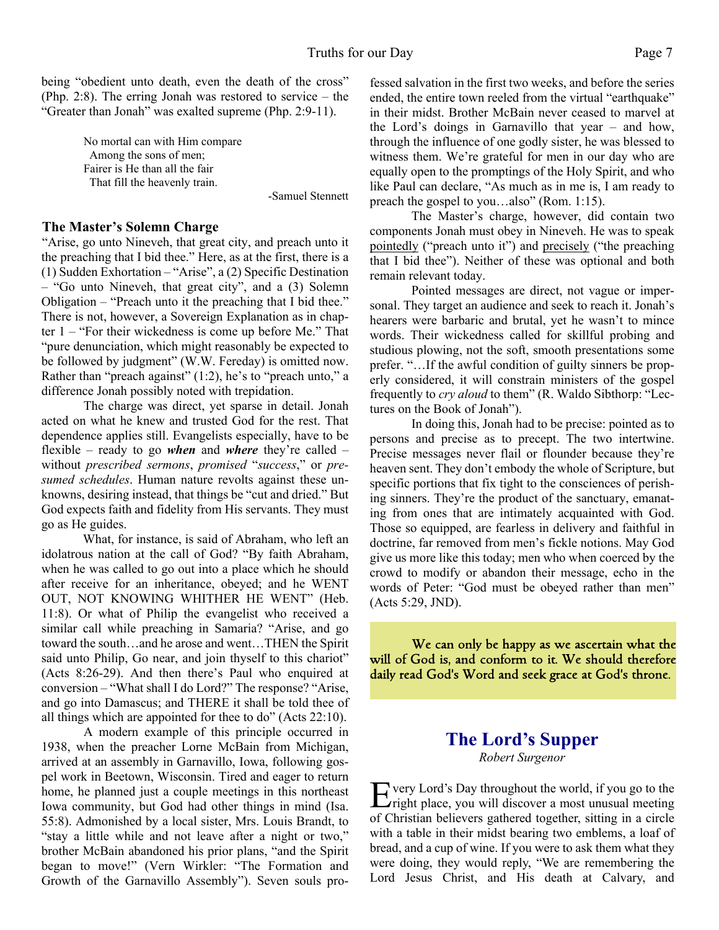being "obedient unto death, even the death of the cross" (Php. 2:8). The erring Jonah was restored to service – the "Greater than Jonah" was exalted supreme (Php. 2:9-11).

> No mortal can with Him compare Among the sons of men; Fairer is He than all the fair That fill the heavenly train.

> > -Samuel Stennett

#### **The Master's Solemn Charge**

"Arise, go unto Nineveh, that great city, and preach unto it the preaching that I bid thee." Here, as at the first, there is a (1) Sudden Exhortation – "Arise", a (2) Specific Destination – "Go unto Nineveh, that great city", and a (3) Solemn Obligation – "Preach unto it the preaching that I bid thee." There is not, however, a Sovereign Explanation as in chapter 1 – "For their wickedness is come up before Me." That "pure denunciation, which might reasonably be expected to be followed by judgment" (W.W. Fereday) is omitted now. Rather than "preach against" (1:2), he's to "preach unto," a difference Jonah possibly noted with trepidation.

 The charge was direct, yet sparse in detail. Jonah acted on what he knew and trusted God for the rest. That dependence applies still. Evangelists especially, have to be flexible – ready to go *when* and *where* they're called – without *prescribed sermons*, *promised* "*success*," or *presumed schedules*. Human nature revolts against these unknowns, desiring instead, that things be "cut and dried." But God expects faith and fidelity from His servants. They must go as He guides.

What, for instance, is said of Abraham, who left an idolatrous nation at the call of God? "By faith Abraham, when he was called to go out into a place which he should after receive for an inheritance, obeyed; and he WENT OUT, NOT KNOWING WHITHER HE WENT" (Heb. 11:8). Or what of Philip the evangelist who received a similar call while preaching in Samaria? "Arise, and go toward the south…and he arose and went…THEN the Spirit said unto Philip, Go near, and join thyself to this chariot" (Acts 8:26-29). And then there's Paul who enquired at conversion – "What shall I do Lord?" The response? "Arise, and go into Damascus; and THERE it shall be told thee of all things which are appointed for thee to do" (Acts 22:10).

 A modern example of this principle occurred in 1938, when the preacher Lorne McBain from Michigan, arrived at an assembly in Garnavillo, Iowa, following gospel work in Beetown, Wisconsin. Tired and eager to return home, he planned just a couple meetings in this northeast Iowa community, but God had other things in mind (Isa. 55:8). Admonished by a local sister, Mrs. Louis Brandt, to "stay a little while and not leave after a night or two," brother McBain abandoned his prior plans, "and the Spirit began to move!" (Vern Wirkler: "The Formation and Growth of the Garnavillo Assembly"). Seven souls professed salvation in the first two weeks, and before the series ended, the entire town reeled from the virtual "earthquake" in their midst. Brother McBain never ceased to marvel at the Lord's doings in Garnavillo that year – and how, through the influence of one godly sister, he was blessed to witness them. We're grateful for men in our day who are equally open to the promptings of the Holy Spirit, and who like Paul can declare, "As much as in me is, I am ready to preach the gospel to you…also" (Rom. 1:15).

The Master's charge, however, did contain two components Jonah must obey in Nineveh. He was to speak pointedly ("preach unto it") and precisely ("the preaching that I bid thee"). Neither of these was optional and both remain relevant today.

Pointed messages are direct, not vague or impersonal. They target an audience and seek to reach it. Jonah's hearers were barbaric and brutal, yet he wasn't to mince words. Their wickedness called for skillful probing and studious plowing, not the soft, smooth presentations some prefer. "…If the awful condition of guilty sinners be properly considered, it will constrain ministers of the gospel frequently to *cry aloud* to them" (R. Waldo Sibthorp: "Lectures on the Book of Jonah").

In doing this, Jonah had to be precise: pointed as to persons and precise as to precept. The two intertwine. Precise messages never flail or flounder because they're heaven sent. They don't embody the whole of Scripture, but specific portions that fix tight to the consciences of perishing sinners. They're the product of the sanctuary, emanating from ones that are intimately acquainted with God. Those so equipped, are fearless in delivery and faithful in doctrine, far removed from men's fickle notions. May God give us more like this today; men who when coerced by the crowd to modify or abandon their message, echo in the words of Peter: "God must be obeyed rather than men" (Acts 5:29, JND).

We can only be happy as we ascertain what the will of God is, and conform to it. We should therefore daily read God's Word and seek grace at God's throne.

# **The Lord's Supper**

*Robert Surgenor*

E very Lord's Day throughout the world, if you go to the right place, you will discover a most unusual meeting  $\angle$ right place, you will discover a most unusual meeting of Christian believers gathered together, sitting in a circle with a table in their midst bearing two emblems, a loaf of bread, and a cup of wine. If you were to ask them what they were doing, they would reply, "We are remembering the Lord Jesus Christ, and His death at Calvary, and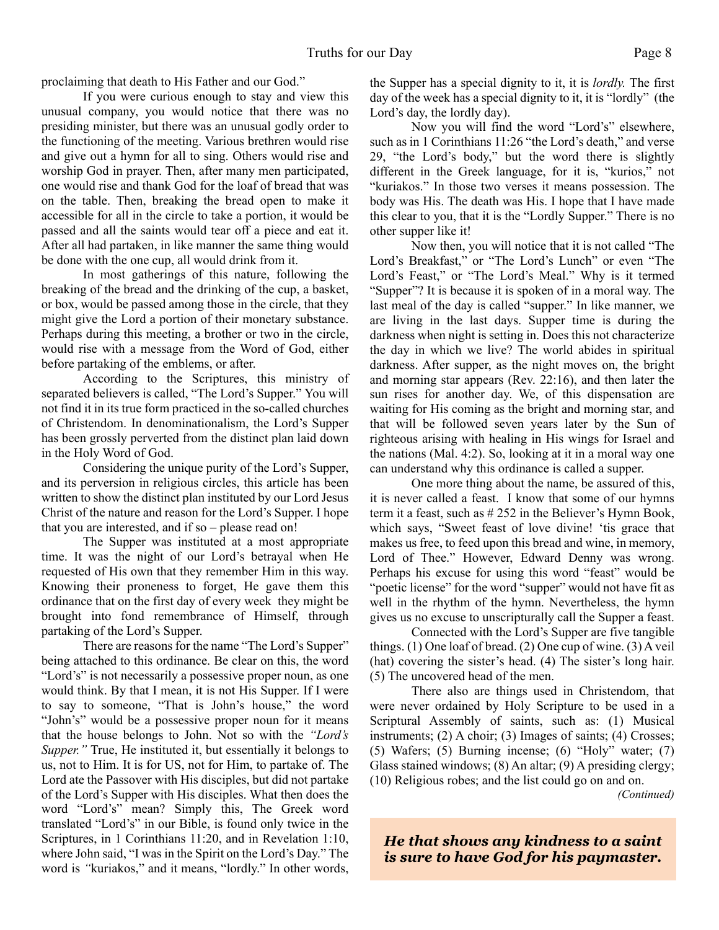proclaiming that death to His Father and our God."

If you were curious enough to stay and view this unusual company, you would notice that there was no presiding minister, but there was an unusual godly order to the functioning of the meeting. Various brethren would rise and give out a hymn for all to sing. Others would rise and worship God in prayer. Then, after many men participated, one would rise and thank God for the loaf of bread that was on the table. Then, breaking the bread open to make it accessible for all in the circle to take a portion, it would be passed and all the saints would tear off a piece and eat it. After all had partaken, in like manner the same thing would be done with the one cup, all would drink from it.

In most gatherings of this nature, following the breaking of the bread and the drinking of the cup, a basket, or box, would be passed among those in the circle, that they might give the Lord a portion of their monetary substance. Perhaps during this meeting, a brother or two in the circle, would rise with a message from the Word of God, either before partaking of the emblems, or after.

According to the Scriptures, this ministry of separated believers is called, "The Lord's Supper." You will not find it in its true form practiced in the so-called churches of Christendom. In denominationalism, the Lord's Supper has been grossly perverted from the distinct plan laid down in the Holy Word of God.

Considering the unique purity of the Lord's Supper, and its perversion in religious circles, this article has been written to show the distinct plan instituted by our Lord Jesus Christ of the nature and reason for the Lord's Supper. I hope that you are interested, and if so – please read on!

The Supper was instituted at a most appropriate time. It was the night of our Lord's betrayal when He requested of His own that they remember Him in this way. Knowing their proneness to forget, He gave them this ordinance that on the first day of every week they might be brought into fond remembrance of Himself, through partaking of the Lord's Supper.

There are reasons for the name "The Lord's Supper" being attached to this ordinance. Be clear on this, the word "Lord's" is not necessarily a possessive proper noun, as one would think. By that I mean, it is not His Supper. If I were to say to someone, "That is John's house," the word "John's" would be a possessive proper noun for it means that the house belongs to John. Not so with the *"Lord's Supper."* True, He instituted it, but essentially it belongs to us, not to Him. It is for US, not for Him, to partake of. The Lord ate the Passover with His disciples, but did not partake of the Lord's Supper with His disciples. What then does the word "Lord's" mean? Simply this, The Greek word translated "Lord's" in our Bible, is found only twice in the Scriptures, in 1 Corinthians 11:20, and in Revelation 1:10, where John said, "I was in the Spirit on the Lord's Day." The word is *"*kuriakos," and it means, "lordly." In other words, the Supper has a special dignity to it, it is *lordly.* The first day of the week has a special dignity to it, it is "lordly" (the Lord's day, the lordly day).

Now you will find the word "Lord's" elsewhere, such as in 1 Corinthians 11:26 "the Lord's death," and verse 29, "the Lord's body," but the word there is slightly different in the Greek language, for it is, "kurios," not "kuriakos." In those two verses it means possession. The body was His. The death was His. I hope that I have made this clear to you, that it is the "Lordly Supper." There is no other supper like it!

Now then, you will notice that it is not called "The Lord's Breakfast," or "The Lord's Lunch" or even "The Lord's Feast," or "The Lord's Meal." Why is it termed "Supper"? It is because it is spoken of in a moral way. The last meal of the day is called "supper." In like manner, we are living in the last days. Supper time is during the darkness when night is setting in. Does this not characterize the day in which we live? The world abides in spiritual darkness. After supper, as the night moves on, the bright and morning star appears (Rev. 22:16), and then later the sun rises for another day. We, of this dispensation are waiting for His coming as the bright and morning star, and that will be followed seven years later by the Sun of righteous arising with healing in His wings for Israel and the nations (Mal. 4:2). So, looking at it in a moral way one can understand why this ordinance is called a supper.

One more thing about the name, be assured of this, it is never called a feast. I know that some of our hymns term it a feast, such as # 252 in the Believer's Hymn Book, which says, "Sweet feast of love divine! 'tis grace that makes us free, to feed upon this bread and wine, in memory, Lord of Thee." However, Edward Denny was wrong. Perhaps his excuse for using this word "feast" would be "poetic license" for the word "supper" would not have fit as well in the rhythm of the hymn. Nevertheless, the hymn gives us no excuse to unscripturally call the Supper a feast.

Connected with the Lord's Supper are five tangible things. (1) One loaf of bread. (2) One cup of wine. (3) A veil (hat) covering the sister's head. (4) The sister's long hair. (5) The uncovered head of the men.

There also are things used in Christendom, that were never ordained by Holy Scripture to be used in a Scriptural Assembly of saints, such as: (1) Musical instruments; (2) A choir; (3) Images of saints; (4) Crosses; (5) Wafers; (5) Burning incense; (6) "Holy" water; (7) Glass stained windows; (8) An altar; (9) A presiding clergy; (10) Religious robes; and the list could go on and on.

*(Continued)*

*He that shows any kindness to a saint is sure to have God for his paymaster.*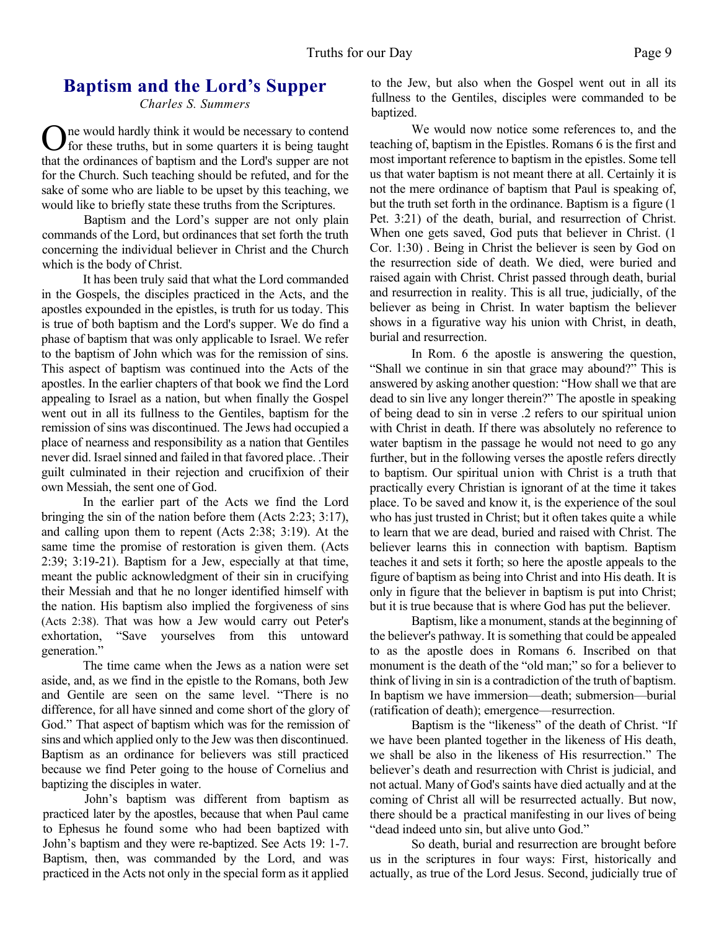# **Baptism and the Lord's Supper**

*Charles S. Summers*

One would hardly think it would be necessary to contend for these truths, but in some quarters it is being taught that the ordinances of baptism and the Lord's supper are not ne would hardly think it would be necessary to contend for these truths, but in some quarters it is being taught for the Church. Such teaching should be refuted, and for the sake of some who are liable to be upset by this teaching, we would like to briefly state these truths from the Scriptures.

Baptism and the Lord's supper are not only plain commands of the Lord, but ordinances that set forth the truth concerning the individual believer in Christ and the Church which is the body of Christ.

It has been truly said that what the Lord commanded in the Gospels, the disciples practiced in the Acts, and the apostles expounded in the epistles, is truth for us today. This is true of both baptism and the Lord's supper. We do find a phase of baptism that was only applicable to Israel. We refer to the baptism of John which was for the remission of sins. This aspect of baptism was continued into the Acts of the apostles. In the earlier chapters of that book we find the Lord appealing to Israel as a nation, but when finally the Gospel went out in all its fullness to the Gentiles, baptism for the remission of sins was discontinued. The Jews had occupied a place of nearness and responsibility as a nation that Gentiles never did. Israel sinned and failed in that favored place. .Their guilt culminated in their rejection and crucifixion of their own Messiah, the sent one of God.

In the earlier part of the Acts we find the Lord bringing the sin of the nation before them (Acts 2:23; 3:17), and calling upon them to repent (Acts 2:38; 3:19). At the same time the promise of restoration is given them. (Acts 2:39; 3:19-21). Baptism for a Jew, especially at that time, meant the public acknowledgment of their sin in crucifying their Messiah and that he no longer identified himself with the nation. His baptism also implied the forgiveness of sins (Acts 2:38). That was how a Jew would carry out Peter's exhortation, "Save yourselves from this untoward generation."

The time came when the Jews as a nation were set aside, and, as we find in the epistle to the Romans, both Jew and Gentile are seen on the same level. "There is no difference, for all have sinned and come short of the glory of God." That aspect of baptism which was for the remission of sins and which applied only to the Jew was then discontinued. Baptism as an ordinance for believers was still practiced because we find Peter going to the house of Cornelius and baptizing the disciples in water.

John's baptism was different from baptism as practiced later by the apostles, because that when Paul came to Ephesus he found some who had been baptized with John's baptism and they were re-baptized. See Acts 19: 1-7. Baptism, then, was commanded by the Lord, and was practiced in the Acts not only in the special form as it applied to the Jew, but also when the Gospel went out in all its fullness to the Gentiles, disciples were commanded to be baptized.

We would now notice some references to, and the teaching of, baptism in the Epistles. Romans 6 is the first and most important reference to baptism in the epistles. Some tell us that water baptism is not meant there at all. Certainly it is not the mere ordinance of baptism that Paul is speaking of, but the truth set forth in the ordinance. Baptism is a figure (1 Pet. 3:21) of the death, burial, and resurrection of Christ. When one gets saved, God puts that believer in Christ. (1 Cor. 1:30) . Being in Christ the believer is seen by God on the resurrection side of death. We died, were buried and raised again with Christ. Christ passed through death, burial and resurrection in reality. This is all true, judicially, of the believer as being in Christ. In water baptism the believer shows in a figurative way his union with Christ, in death, burial and resurrection.

In Rom. 6 the apostle is answering the question, "Shall we continue in sin that grace may abound?" This is answered by asking another question: "How shall we that are dead to sin live any longer therein?" The apostle in speaking of being dead to sin in verse .2 refers to our spiritual union with Christ in death. If there was absolutely no reference to water baptism in the passage he would not need to go any further, but in the following verses the apostle refers directly to baptism. Our spiritual union with Christ is a truth that practically every Christian is ignorant of at the time it takes place. To be saved and know it, is the experience of the soul who has just trusted in Christ; but it often takes quite a while to learn that we are dead, buried and raised with Christ. The believer learns this in connection with baptism. Baptism teaches it and sets it forth; so here the apostle appeals to the figure of baptism as being into Christ and into His death. It is only in figure that the believer in baptism is put into Christ; but it is true because that is where God has put the believer.

Baptism, like a monument, stands at the beginning of the believer's pathway. It is something that could be appealed to as the apostle does in Romans 6. Inscribed on that monument is the death of the "old man;" so for a believer to think of living in sin is a contradiction of the truth of baptism. In baptism we have immersion—death; submersion—burial (ratification of death); emergence—resurrection.

Baptism is the "likeness" of the death of Christ. "If we have been planted together in the likeness of His death, we shall be also in the likeness of His resurrection." The believer's death and resurrection with Christ is judicial, and not actual. Many of God's saints have died actually and at the coming of Christ all will be resurrected actually. But now, there should be a practical manifesting in our lives of being "dead indeed unto sin, but alive unto God."

So death, burial and resurrection are brought before us in the scriptures in four ways: First, historically and actually, as true of the Lord Jesus. Second, judicially true of